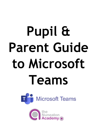# **Pupil & Parent Guide to Microsoft Teams**



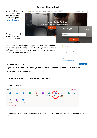## **Teams – How to Login**



TN(Year the pupil started the school, first two letters of firs[tname.lastname\)@stumidlandat.co.uk](mailto:name.lastname@stumidlandat.co.uk)

For example **TN13si.trout@stumidlandat.co.uk**

Once you have logged in, you will see the screen below

| Click on the Teams icon             |                      |                 |                           |             |                 |            |       |                   |      |                       |
|-------------------------------------|----------------------|-----------------|---------------------------|-------------|-----------------|------------|-------|-------------------|------|-----------------------|
| Apps                                |                      |                 |                           |             |                 |            |       |                   |      | Install Office $\vee$ |
| 0                                   |                      | $\vert W \vert$ | $\mathbf{x}$ $\mathbf{r}$ | $P_{\perp}$ | $N_{\parallel}$ | \$         | Ŵ     | N <sub>2</sub>    | S    | <b>E</b> g            |
| Outlook                             | OneDrive             | Word            | Excel                     | PowerPoint  | OneNote         | SharePoint | Teams | Class<br>Notebook | Sway | Forms                 |
| $\beta^{\text{R}}$                  | <b>N<sub>B</sub></b> | 蔮               |                           |             |                 |            |       |                   |      |                       |
| People                              | Staff<br>Notebook    | Calendar        |                           |             |                 |            |       |                   |      |                       |
| Explore all your apps $\rightarrow$ |                      |                 |                           |             |                 |            |       |                   |      |                       |

You now need to use the codes given to you to join all of your classes. Use the instructions below to do this.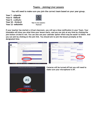#### **Teams – Joining Live Lessons**

**You will need to make sure you join the correct team based on your year group**.

**Year 7 - mhpoltx Year 8 - fl39sn9 Year 9 - cu90y5n Year 10 - i0zdpx8 Year 11- ee6umfm**



Year 8 Live Lessons -Pastoral

**If your teacher has started a virtual classroom, you will see a blue notification in your Team. Your timetable will show you what time your lesson starts, and you can join at any time by clicking the join button circled in red. You can also use your calendar option which may be easier to follow. And you can join by clicking on the join link. You should aim to join the lesson promptly at the designated time.**

| General Aus Fits Qualitationk Asigments Globa KennistycOgarises Renotationing +<br>٠<br>college of Mag, v (b ---<br>Allegro<br><b>Calendar</b><br>Artista<br>$\overline{\phantom{a}}$<br><b>COL</b><br>兰<br>Remote Learning and Live Lessons Feedback<br><u>LA.</u><br>August 2019 V<br>Today<br>$\rightarrow$<br>Day Drd 11<br><b>Chair</b><br>$\blacksquare$<br>22<br>20<br>21<br>23<br>19<br><b>Visy spagnment</b><br>崖<br>-out<br>Transfer<br>Eriday<br>Tuesday<br>Year & Live Lessons - Pastoral<br>Wednesday<br>Monday<br>÷<br>- 0<br>On Call - Sandra<br>4 Aug 6 On Call - T<br>$\sim$ 240 $\%$<br>Torn - PTO<br>▫<br>$\sim$<br>General<br>$-$ Letrest $-$<br>ு<br><b>CONTRACTOR</b><br><b>AM</b><br>$\alpha$<br>Cette Daniel (TNA) 11/29 3:20 PM<br>Please enters you have a next work back and a daw desir<br>Daily SharePoint Standup<br>Daily SharePoint Standary<br>Itanika<br>Siyon Meeting Duff, Thomas<br>Skype Meeting Duff, Thomas<br><b>INS Barres</b><br>MAX 8<br>Focus time<br><b>Side</b><br>Performing Arts Live Instan with Mrs Barner.<br>Vachweine Depender 3, 2020 in 12/22/14<br><b>THE R</b><br>$\cdots$<br><b>Since 15 restep from Corina and Coppendix</b><br>10 AM weekly Team Meeting<br>SharePoint Online Planning<br>ar well.<br>Skype Meeting (C)<br>Show Meeting Mohan Sandra CL<br><b>P.O.M.</b><br>and has then they are no<br>Please have some paper and a por hands, and a clear and quickly mork area as could by<br>M4.11<br>The River School Math Miss Alban.<br>The American procedure group processes<br>and the contract of<br>Trust 10 restaurers for and Cartes<br>12.055<br><b>CONTRACTOR</b><br>$\sim$ Rain<br>Data vita 4, 2020<br>$\sim$<br>an percland paper ready for your lesson<br>1 PM<br><b>BALLASTIC</b><br>as time<br>. .<br>Ward the Geography Lesson<br>Management of Score Highway<br>Tom Duff 1-an-1-Bhonthho<br>Office 365 Pulse<br><b>The Contract</b><br>$\sim$<br>Microsoft Teams Meeting<br>Zings 17 rester from Copendia and Carlos<br>2.09.6<br>Jennifer Mason<br>$\mathbf{f}$<br>Apps<br><b>PM</b><br>E New conversation | O. Sursh | where $P \bigotimes_{i=1}^n P_i = P_i \times P_i$ |  | Seerch or type a commend |                                                                                             |
|--------------------------------------------------------------------------------------------------------------------------------------------------------------------------------------------------------------------------------------------------------------------------------------------------------------------------------------------------------------------------------------------------------------------------------------------------------------------------------------------------------------------------------------------------------------------------------------------------------------------------------------------------------------------------------------------------------------------------------------------------------------------------------------------------------------------------------------------------------------------------------------------------------------------------------------------------------------------------------------------------------------------------------------------------------------------------------------------------------------------------------------------------------------------------------------------------------------------------------------------------------------------------------------------------------------------------------------------------------------------------------------------------------------------------------------------------------------------------------------------------------------------------------------------------------------------------------------------------------------------------------------------------------------------------------------------------------------------------------------------------------------------------------------------------------------------------------------------------------------------------------------------------------------------------------------------------------------------------------------------------------------------------------------------------------------------------------------------------|----------|---------------------------------------------------|--|--------------------------|---------------------------------------------------------------------------------------------|
|                                                                                                                                                                                                                                                                                                                                                                                                                                                                                                                                                                                                                                                                                                                                                                                                                                                                                                                                                                                                                                                                                                                                                                                                                                                                                                                                                                                                                                                                                                                                                                                                                                                                                                                                                                                                                                                                                                                                                                                                                                                                                                  |          |                                                   |  |                          | $+$ New meeting                                                                             |
|                                                                                                                                                                                                                                                                                                                                                                                                                                                                                                                                                                                                                                                                                                                                                                                                                                                                                                                                                                                                                                                                                                                                                                                                                                                                                                                                                                                                                                                                                                                                                                                                                                                                                                                                                                                                                                                                                                                                                                                                                                                                                                  |          |                                                   |  |                          | $\boxplus$ Work week $\vee$                                                                 |
|                                                                                                                                                                                                                                                                                                                                                                                                                                                                                                                                                                                                                                                                                                                                                                                                                                                                                                                                                                                                                                                                                                                                                                                                                                                                                                                                                                                                                                                                                                                                                                                                                                                                                                                                                                                                                                                                                                                                                                                                                                                                                                  |          |                                                   |  |                          |                                                                                             |
|                                                                                                                                                                                                                                                                                                                                                                                                                                                                                                                                                                                                                                                                                                                                                                                                                                                                                                                                                                                                                                                                                                                                                                                                                                                                                                                                                                                                                                                                                                                                                                                                                                                                                                                                                                                                                                                                                                                                                                                                                                                                                                  |          |                                                   |  |                          | Sep 2 B                                                                                     |
|                                                                                                                                                                                                                                                                                                                                                                                                                                                                                                                                                                                                                                                                                                                                                                                                                                                                                                                                                                                                                                                                                                                                                                                                                                                                                                                                                                                                                                                                                                                                                                                                                                                                                                                                                                                                                                                                                                                                                                                                                                                                                                  |          |                                                   |  |                          |                                                                                             |
|                                                                                                                                                                                                                                                                                                                                                                                                                                                                                                                                                                                                                                                                                                                                                                                                                                                                                                                                                                                                                                                                                                                                                                                                                                                                                                                                                                                                                                                                                                                                                                                                                                                                                                                                                                                                                                                                                                                                                                                                                                                                                                  |          |                                                   |  |                          | <b>Service Services</b> States<br>Daily SharePoint Standary<br>Skype Meeting Duff, Thomas C |
|                                                                                                                                                                                                                                                                                                                                                                                                                                                                                                                                                                                                                                                                                                                                                                                                                                                                                                                                                                                                                                                                                                                                                                                                                                                                                                                                                                                                                                                                                                                                                                                                                                                                                                                                                                                                                                                                                                                                                                                                                                                                                                  |          |                                                   |  |                          |                                                                                             |
|                                                                                                                                                                                                                                                                                                                                                                                                                                                                                                                                                                                                                                                                                                                                                                                                                                                                                                                                                                                                                                                                                                                                                                                                                                                                                                                                                                                                                                                                                                                                                                                                                                                                                                                                                                                                                                                                                                                                                                                                                                                                                                  |          |                                                   |  |                          |                                                                                             |
|                                                                                                                                                                                                                                                                                                                                                                                                                                                                                                                                                                                                                                                                                                                                                                                                                                                                                                                                                                                                                                                                                                                                                                                                                                                                                                                                                                                                                                                                                                                                                                                                                                                                                                                                                                                                                                                                                                                                                                                                                                                                                                  |          |                                                   |  |                          |                                                                                             |
|                                                                                                                                                                                                                                                                                                                                                                                                                                                                                                                                                                                                                                                                                                                                                                                                                                                                                                                                                                                                                                                                                                                                                                                                                                                                                                                                                                                                                                                                                                                                                                                                                                                                                                                                                                                                                                                                                                                                                                                                                                                                                                  |          |                                                   |  |                          |                                                                                             |
|                                                                                                                                                                                                                                                                                                                                                                                                                                                                                                                                                                                                                                                                                                                                                                                                                                                                                                                                                                                                                                                                                                                                                                                                                                                                                                                                                                                                                                                                                                                                                                                                                                                                                                                                                                                                                                                                                                                                                                                                                                                                                                  |          |                                                   |  |                          | O365 Governance Board<br>Skype Meeting                                                      |
|                                                                                                                                                                                                                                                                                                                                                                                                                                                                                                                                                                                                                                                                                                                                                                                                                                                                                                                                                                                                                                                                                                                                                                                                                                                                                                                                                                                                                                                                                                                                                                                                                                                                                                                                                                                                                                                                                                                                                                                                                                                                                                  |          |                                                   |  |                          |                                                                                             |
|                                                                                                                                                                                                                                                                                                                                                                                                                                                                                                                                                                                                                                                                                                                                                                                                                                                                                                                                                                                                                                                                                                                                                                                                                                                                                                                                                                                                                                                                                                                                                                                                                                                                                                                                                                                                                                                                                                                                                                                                                                                                                                  |          |                                                   |  |                          | Join<br><b>Googlett Teams Meeting</b>                                                       |
|                                                                                                                                                                                                                                                                                                                                                                                                                                                                                                                                                                                                                                                                                                                                                                                                                                                                                                                                                                                                                                                                                                                                                                                                                                                                                                                                                                                                                                                                                                                                                                                                                                                                                                                                                                                                                                                                                                                                                                                                                                                                                                  |          |                                                   |  |                          |                                                                                             |
|                                                                                                                                                                                                                                                                                                                                                                                                                                                                                                                                                                                                                                                                                                                                                                                                                                                                                                                                                                                                                                                                                                                                                                                                                                                                                                                                                                                                                                                                                                                                                                                                                                                                                                                                                                                                                                                                                                                                                                                                                                                                                                  |          |                                                   |  |                          |                                                                                             |
|                                                                                                                                                                                                                                                                                                                                                                                                                                                                                                                                                                                                                                                                                                                                                                                                                                                                                                                                                                                                                                                                                                                                                                                                                                                                                                                                                                                                                                                                                                                                                                                                                                                                                                                                                                                                                                                                                                                                                                                                                                                                                                  |          |                                                   |  |                          |                                                                                             |
|                                                                                                                                                                                                                                                                                                                                                                                                                                                                                                                                                                                                                                                                                                                                                                                                                                                                                                                                                                                                                                                                                                                                                                                                                                                                                                                                                                                                                                                                                                                                                                                                                                                                                                                                                                                                                                                                                                                                                                                                                                                                                                  |          |                                                   |  |                          |                                                                                             |
|                                                                                                                                                                                                                                                                                                                                                                                                                                                                                                                                                                                                                                                                                                                                                                                                                                                                                                                                                                                                                                                                                                                                                                                                                                                                                                                                                                                                                                                                                                                                                                                                                                                                                                                                                                                                                                                                                                                                                                                                                                                                                                  |          |                                                   |  |                          |                                                                                             |
|                                                                                                                                                                                                                                                                                                                                                                                                                                                                                                                                                                                                                                                                                                                                                                                                                                                                                                                                                                                                                                                                                                                                                                                                                                                                                                                                                                                                                                                                                                                                                                                                                                                                                                                                                                                                                                                                                                                                                                                                                                                                                                  |          |                                                   |  |                          |                                                                                             |
| ౖ<br><b>Neben en Les es la ses d'uniforme</b><br>● ■ ■ ● 粒 後 ● 图 区 粒 粒 ■ 陽 粒<br>$\blacksquare$                                                                                                                                                                                                                                                                                                                                                                                                                                                                                                                                                                                                                                                                                                                                                                                                                                                                                                                                                                                                                                                                                                                                                                                                                                                                                                                                                                                                                                                                                                                                                                                                                                                                                                                                                                                                                                                                                                                                                                                                   |          |                                                   |  |                          |                                                                                             |



**Cameras will be turned off but you will need to make sure your microphone is off.**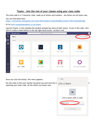### **Teams – Join the rest of your classes using your class codes**

The class code is a 7-character code, made up of letters and numbers – the letters are all lower case.

You can find these here:

<https://livenwhcac.sharepoint.com/sites/MATStudents/Shared%20Documents/TNA/Class%20Codes>

Or on [www.nuneatonacademy.co.uk/teams](http://www.nuneatonacademy.co.uk/teams)

Log into Teams, in this example the student already has some of their teams. To put in the code, click join or create a team button in the top right hand corner, circled in red.



Once you click the button, this menu appears.

Put the code in that your teacher has given you and click the  $j\epsilon$  Join a team button circle when inputting your team code, all the letters are lower case.

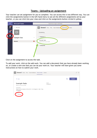# **Teams – Uploading an assignment**

Your teacher can set assignment for you to complete. You can access this is two different way. You can click the assignments button in the left-hand menu to see all the different assignments set by your teacher, or you can click into your class and click on the assignments button circled in yellow.

| :                              | <b>Microsoft Teams</b> | Search for or type a command                                             |
|--------------------------------|------------------------|--------------------------------------------------------------------------|
| $\blacklozenge^0$<br>Activity  | ←<br>All teams         | <b>General</b> Posts Files Class Notebook Assignments<br>් ඊාී<br>Grades |
| <mark>.</mark><br><b>Teams</b> | ໍ່ເບິ່ງ                | Upcoming                                                                 |
| Ô<br>Assignments               | <b>Example Class</b>   | $\vee$ Assigned (1)<br>                                                  |
| $\cdots$                       | General                | Example Tasks<br>$\bullet$<br>Due tomorrow at 23:59                      |
|                                |                        | Completed                                                                |
|                                |                        |                                                                          |

Click on the assignment to access the task.

To add your work, click on the add work. You can add a document that you have already been working on, or create a new one that you can do your work on. Your teacher will have given you some instructions on how to submit your work.

| General Posts Files Class Notebook Assignments Grades<br>້ ເຖິງ                                                      |                     | ⊬ <sup>7</sup> "     |
|----------------------------------------------------------------------------------------------------------------------|---------------------|----------------------|
| Back<br>✓                                                                                                            |                     | பி<br><b>Hand in</b> |
| <b>Example Tasks</b><br>Due tomorrow at 23:59                                                                        | Points<br>No points |                      |
| Instructions<br>Describe the character of Eve Smith in An Inspector Calls. Three<br>paragraphs<br>v work<br>Add work |                     |                      |